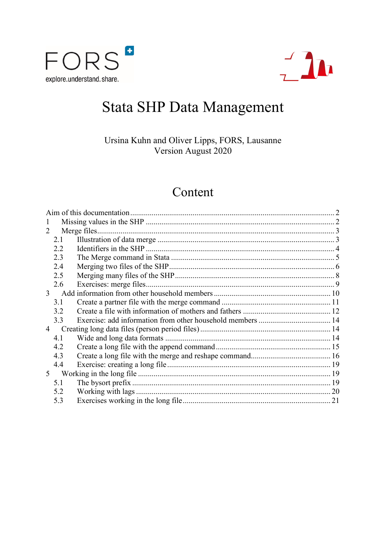



# Stata SHP Data Management

Ursina Kuhn and Oliver Lipps, FORS, Lausanne Version August 2020

## Content

| 1                     |     |  |  |  |  |  |  |
|-----------------------|-----|--|--|--|--|--|--|
| $\mathcal{D}_{\cdot}$ |     |  |  |  |  |  |  |
|                       | 2.1 |  |  |  |  |  |  |
|                       | 2.2 |  |  |  |  |  |  |
|                       | 2.3 |  |  |  |  |  |  |
|                       | 2.4 |  |  |  |  |  |  |
|                       | 2.5 |  |  |  |  |  |  |
|                       | 2.6 |  |  |  |  |  |  |
| 3 <sup>7</sup>        |     |  |  |  |  |  |  |
|                       | 3.1 |  |  |  |  |  |  |
|                       | 3.2 |  |  |  |  |  |  |
|                       | 3.3 |  |  |  |  |  |  |
| 4                     |     |  |  |  |  |  |  |
|                       | 4.1 |  |  |  |  |  |  |
|                       | 4.2 |  |  |  |  |  |  |
|                       | 4.3 |  |  |  |  |  |  |
|                       | 4.4 |  |  |  |  |  |  |
| 5 <sup>5</sup>        |     |  |  |  |  |  |  |
|                       | 5.1 |  |  |  |  |  |  |
|                       | 5.2 |  |  |  |  |  |  |
|                       | 5.3 |  |  |  |  |  |  |
|                       |     |  |  |  |  |  |  |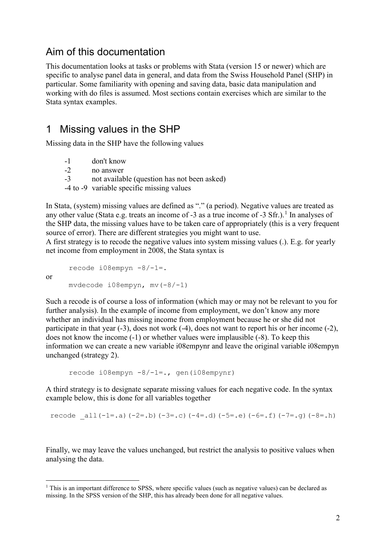## <span id="page-1-0"></span>Aim of this documentation

This documentation looks at tasks or problems with Stata (version 15 or newer) which are specific to analyse panel data in general, and data from the Swiss Household Panel (SHP) in particular. Some familiarity with opening and saving data, basic data manipulation and working with do files is assumed. Most sections contain exercises which are similar to the Stata syntax examples.

## <span id="page-1-1"></span>1 Missing values in the SHP

Missing data in the SHP have the following values

- -1 don't know
- -2 no answer

or

- -3 not available (question has not been asked)
- -4 to -9 variable specific missing values

In Stata, (system) missing values are defined as "." (a period). Negative values are treated as any other value (Stata e.g. treats an income of  $-3$  as a true income of  $-3$  Sfr.).<sup>[1](#page-1-2)</sup> In analyses of the SHP data, the missing values have to be taken care of appropriately (this is a very frequent source of error). There are different strategies you might want to use.

A first strategy is to recode the negative values into system missing values (.). E.g. for yearly net income from employment in 2008, the Stata syntax is

recode i08empyn -8/-1=. mvdecode i08empyn, mv(-8/-1)

Such a recode is of course a loss of information (which may or may not be relevant to you for further analysis). In the example of income from employment, we don't know any more whether an individual has missing income from employment because he or she did not participate in that year (-3), does not work (-4), does not want to report his or her income (-2), does not know the income (-1) or whether values were implausible (-8). To keep this information we can create a new variable i08empynr and leave the original variable i08empyn unchanged (strategy 2).

```
recode i08empyn -8/-1=., gen(i08empynr)
```
A third strategy is to designate separate missing values for each negative code. In the syntax example below, this is done for all variables together

recode  $all(-1=.a)(-2=.b)(-3=.c)(-4=.d)(-5=.e)(-6=.f)(-7=.g)(-8=.h)$ 

Finally, we may leave the values unchanged, but restrict the analysis to positive values when analysing the data.

<span id="page-1-2"></span> $1$  This is an important difference to SPSS, where specific values (such as negative values) can be declared as missing. In the SPSS version of the SHP, this has already been done for all negative values.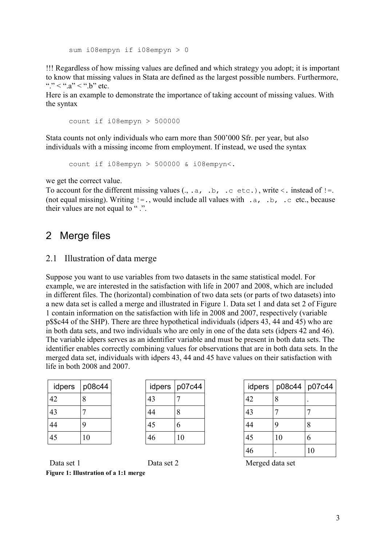sum i08empyn if i08empyn > 0

!!! Regardless of how missing values are defined and which strategy you adopt; it is important to know that missing values in Stata are defined as the largest possible numbers. Furthermore, "..."  $\langle$  "..."  $\langle$  "..." etc."

Here is an example to demonstrate the importance of taking account of missing values. With the syntax

 $count$  if i08empyn > 500000

Stata counts not only individuals who earn more than 500'000 Sfr. per year, but also individuals with a missing income from employment. If instead, we used the syntax

count if i08empyn > 500000 & i08empyn<.

we get the correct value.

To account for the different missing values  $(., .a, .b, .c \text{ etc.}),$  write  $\langle$ . instead of  $!=$ . (not equal missing). Writing  $!=$ ., would include all values with .a, .b, .c etc., because their values are not equal to ".".

## <span id="page-2-0"></span>2 Merge files

## <span id="page-2-1"></span>2.1 Illustration of data merge

Suppose you want to use variables from two datasets in the same statistical model. For example, we are interested in the satisfaction with life in 2007 and 2008, which are included in different files. The (horizontal) combination of two data sets (or parts of two datasets) into a new data set is called a merge and illustrated in Figure 1. Data set 1 and data set 2 of Figure 1 contain information on the satisfaction with life in 2008 and 2007, respectively (variable p\$\$c44 of the SHP). There are three hypothetical individuals (idpers 43, 44 and 45) who are in both data sets, and two individuals who are only in one of the data sets (idpers 42 and 46). The variable idpers serves as an identifier variable and must be present in both data sets. The identifier enables correctly combining values for observations that are in both data sets. In the merged data set, individuals with idpers 43, 44 and 45 have values on their satisfaction with life in both 2008 and 2007.

| idpers | p08c44 |
|--------|--------|
| 42     | 8      |
| 43     |        |
| 44     | g      |
| 45     | 10     |

| idpers | p07c44 |
|--------|--------|
| 43     |        |
| 44     | 8      |
| 45     | 6      |
| 46     | 10     |

| idpers | p08c44 |    | idpers   p07c44 | idpers | p08c44 p07c44 |             |
|--------|--------|----|-----------------|--------|---------------|-------------|
| 42     | Ō      | 43 |                 | 42     | 8             | $\bullet$   |
| 43     |        | 44 | 8               | 43     |               |             |
| 44     | 9      | 45 | O               | 44     |               | 8           |
| 45     | 10     | 46 | 10              | 45     | 10            | $\mathbf b$ |
|        |        |    |                 | 46     |               | 10          |

Data set 1 Data set 2 Merged data set

**Figure 1: Illustration of a 1:1 merge**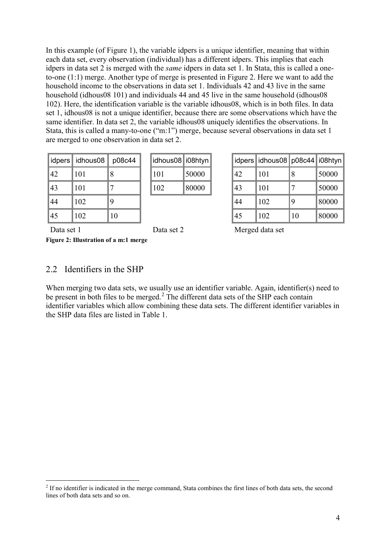In this example (of Figure 1), the variable idpers is a unique identifier, meaning that within each data set, every observation (individual) has a different idpers. This implies that each idpers in data set 2 is merged with the *same* idpers in data set 1. In Stata, this is called a oneto-one (1:1) merge. Another type of merge is presented in Figure 2. Here we want to add the household income to the observations in data set 1. Individuals 42 and 43 live in the same household (idhous08 101) and individuals 44 and 45 live in the same household (idhous08 102). Here, the identification variable is the variable idhous08, which is in both files. In data set 1, idhous08 is not a unique identifier, because there are some observations which have the same identifier. In data set 2, the variable idhous08 uniquely identifies the observations. In Stata, this is called a many-to-one ("m:1") merge, because several observations in data set 1 are merged to one observation in data set 2.

| idpers | idhous08 | p08c44 |  |
|--------|----------|--------|--|
| 42     | 101      | 8      |  |
| 43     | 101      |        |  |
| 44     | 102      | 9      |  |
| 45     | 102      | 10     |  |

| idhous08   i08htyn |       |  |  |
|--------------------|-------|--|--|
| 101                | 50000 |  |  |
| 102                | 80000 |  |  |

|    | idpers idhous08 | p08c44 | <sup>∣</sup> idhous08∥i08htyn∥ |       |    | idpers idhous08 p08c44 i08htyn |    |       |
|----|-----------------|--------|--------------------------------|-------|----|--------------------------------|----|-------|
| 42 | 101             |        | 101                            | 50000 | 42 | 101                            |    | 50000 |
| 43 | 101             |        | 102                            | 80000 | 43 | 101                            |    | 50000 |
| 44 | 102             |        |                                |       | 44 | 102                            |    | 80000 |
| 45 | 102             | 10     |                                |       | 45 | 102                            | 10 | 80000 |

Data set 1 Data set 2 Merged data set

**Figure 2: Illustration of a m:1 merge**

## <span id="page-3-0"></span>2.2 Identifiers in the SHP

When merging two data sets, we usually use an identifier variable. Again, identifier(s) need to be present in both files to be merged.<sup>[2](#page-3-1)</sup> The different data sets of the SHP each contain identifier variables which allow combining these data sets. The different identifier variables in the SHP data files are listed in Table 1.

<span id="page-3-1"></span><sup>&</sup>lt;sup>2</sup> If no identifier is indicated in the merge command, Stata combines the first lines of both data sets, the second lines of both data sets and so on.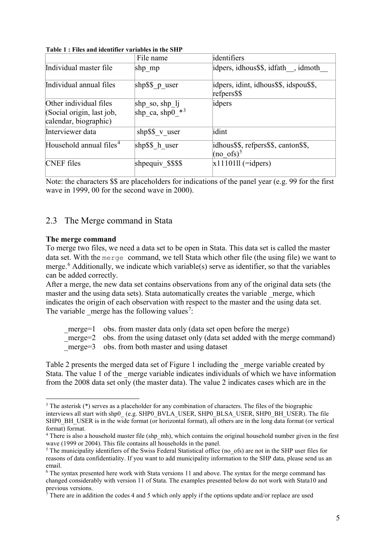| таріст , тися ана іаснініст тагіаріся ін сію этті                            |                                   |                                                               |
|------------------------------------------------------------------------------|-----------------------------------|---------------------------------------------------------------|
|                                                                              | File name                         | identifiers                                                   |
| Individual master file                                                       | shp mp                            | idpers, idhous\$\$, idfath, idmoth                            |
| Individual annual files                                                      | shp $$$ \$ p_user                 | idpers, idint, idhous\$\$, idspou\$\$,<br>refpers\$\$         |
| Other individual files<br>(Social origin, last job,<br>calendar, biographic) | shp_so, shp_lj<br>shp_ca, shp0_*3 | idpers                                                        |
| Interviewer data                                                             | shp\$\$ v user                    | idint                                                         |
| Household annual files <sup>4</sup>                                          | shp\$\$ h user                    | idhous\$\$, refpers\$\$, canton\$\$,<br>(no ofs) <sup>5</sup> |
| <b>CNEF</b> files                                                            | shpequiv \$\$\$\$                 | $x1110111$ (=idpers)                                          |

**Table 1 : Files and identifier variables in the SHP**

Note: the characters \$\$ are placeholders for indications of the panel year (e.g. 99 for the first wave in 1999, 00 for the second wave in 2000).

## <span id="page-4-0"></span>2.3 The Merge command in Stata

#### **The merge command**

To merge two files, we need a data set to be open in Stata. This data set is called the master data set. With the merge command, we tell Stata which other file (the using file) we want to merge.[6](#page-4-4) Additionally, we indicate which variable(s) serve as identifier, so that the variables can be added correctly.

After a merge, the new data set contains observations from any of the original data sets (the master and the using data sets). Stata automatically creates the variable merge, which indicates the origin of each observation with respect to the master and the using data set. The variable merge has the following values<sup>[7](#page-4-5)</sup>:

| merge= $1$ obs. from master data only (data set open before the merge)              |
|-------------------------------------------------------------------------------------|
| merge= $2$ obs. from the using dataset only (data set added with the merge command) |
| merge= $3$ obs. from both master and using dataset                                  |

Table 2 presents the merged data set of Figure 1 including the \_merge variable created by Stata. The value 1 of the merge variable indicates individuals of which we have information from the 2008 data set only (the master data). The value 2 indicates cases which are in the

<span id="page-4-1"></span> <sup>3</sup> The asterisk (\*) serves as a placeholder for any combination of characters. The files of the biographic interviews all start with shp0\_ (e.g. SHP0\_BVLA\_USER, SHP0\_BLSA\_USER, SHP0\_BH\_USER). The file SHP0\_BH\_USER is in the wide format (or horizontal format), all others are in the long data format (or vertical format) format.

<span id="page-4-2"></span><sup>&</sup>lt;sup>4</sup> There is also a household master file (shp\_mh), which contains the original household number given in the first wave (1999 or 2004). This file contains all households in the panel.

<span id="page-4-3"></span> $<sup>5</sup>$  The municipality identifiers of the Swiss Federal Statistical office (no ofs) are not in the SHP user files for</sup> reasons of data confidentiality. If you want to add municipality information to the SHP data, please send us an email.

<span id="page-4-4"></span><sup>6</sup> The syntax presented here work with Stata versions 11 and above. The syntax for the merge command has changed considerably with version 11 of Stata. The examples presented below do not work with Stata10 and previous versions.

<span id="page-4-5"></span><sup>7</sup> There are in addition the codes 4 and 5 which only apply if the options update and/or replace are used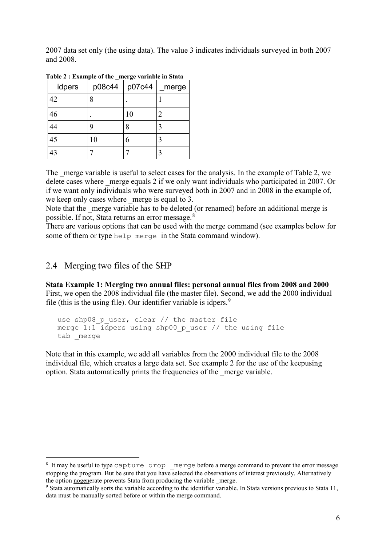2007 data set only (the using data). The value 3 indicates individuals surveyed in both 2007 and 2008.

| idpers | p08c44 | Ö<br>p07c44 | _merge |
|--------|--------|-------------|--------|
| 42     | 8      |             |        |
| 46     |        | 10          |        |
| 44     | 9      | 8           |        |
| 45     | 10     | 6           |        |
| 43     |        |             |        |

**Table 2 : Example of the \_merge variable in Stata**

The merge variable is useful to select cases for the analysis. In the example of Table 2, we delete cases where merge equals 2 if we only want individuals who participated in 2007. Or if we want only individuals who were surveyed both in 2007 and in 2008 in the example of, we keep only cases where merge is equal to 3.

Note that the merge variable has to be deleted (or renamed) before an additional merge is possible. If not, Stata returns an error message.[8](#page-5-1)

There are various options that can be used with the merge command (see examples below for some of them or type help merge in the Stata command window).

## <span id="page-5-0"></span>2.4 Merging two files of the SHP

**Stata Example 1: Merging two annual files: personal annual files from 2008 and 2000** First, we open the 2008 individual file (the master file). Second, we add the 2000 individual file (this is the using file). Our identifier variable is idpers.<sup>[9](#page-5-2)</sup>

```
use shp08 p user, clear // the master file
merge 1:1 idpers using shp00 p user // the using file
tab merge
```
Note that in this example, we add all variables from the 2000 individual file to the 2008 individual file, which creates a large data set. See example 2 for the use of the keepusing option. Stata automatically prints the frequencies of the \_merge variable.

<span id="page-5-1"></span><sup>8</sup> It may be useful to type capture drop merge before a merge command to prevent the error message stopping the program. But be sure that you have selected the observations of interest previously. Alternatively the option nogenerate prevents Stata from producing the variable \_merge.

<span id="page-5-2"></span><sup>9</sup> Stata automatically sorts the variable according to the identifier variable. In Stata versions previous to Stata 11, data must be manually sorted before or within the merge command.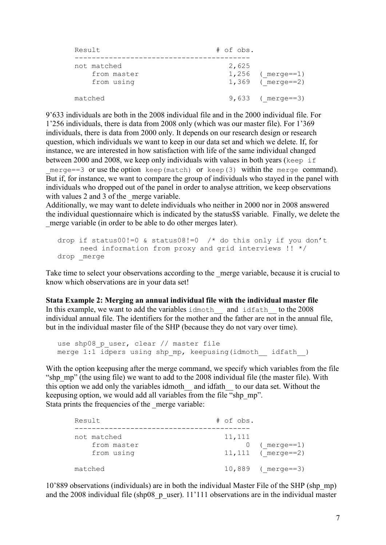| Result                                   | $#$ of obs. |                                          |  |  |
|------------------------------------------|-------------|------------------------------------------|--|--|
| not matched<br>from master<br>from using | 2,625       | $1,256$ (merge==1)<br>$1,369$ (merge==2) |  |  |
| matched                                  |             | $9,633$ (merge==3)                       |  |  |

9'633 individuals are both in the 2008 individual file and in the 2000 individual file. For 1'256 individuals, there is data from 2008 only (which was our master file). For 1'369 individuals, there is data from 2000 only. It depends on our research design or research question, which individuals we want to keep in our data set and which we delete. If, for instance, we are interested in how satisfaction with life of the same individual changed between 2000 and 2008, we keep only individuals with values in both years (keep if merge==3 or use the option keep(match) or keep(3) within the merge command). But if, for instance, we want to compare the group of individuals who stayed in the panel with individuals who dropped out of the panel in order to analyse attrition, we keep observations with values 2 and 3 of the merge variable.

Additionally, we may want to delete individuals who neither in 2000 nor in 2008 answered the individual questionnaire which is indicated by the status\$\$ variable. Finally, we delete the merge variable (in order to be able to do other merges later).

```
drop if status00!=0 & status08!=0 /* do this only if you don't
      need information from proxy and grid interviews !! */
drop merge
```
Take time to select your observations according to the merge variable, because it is crucial to know which observations are in your data set!

## **Stata Example 2: Merging an annual individual file with the individual master file**

In this example, we want to add the variables idmoth and idfath to the  $2008$ individual annual file. The identifiers for the mother and the father are not in the annual file, but in the individual master file of the SHP (because they do not vary over time).

```
use shp08 p user, clear // master file
merge 1:1^- idpers using shp mp, keepusing(idmoth idfath)
```
With the option keepusing after the merge command, we specify which variables from the file "shp\_mp" (the using file) we want to add to the 2008 individual file (the master file). With this option we add only the variables idmoth and idfath to our data set. Without the keepusing option, we would add all variables from the file "shp\_mp". Stata prints the frequencies of the merge variable:

| Result                                   | $#$ of obs.                                        |
|------------------------------------------|----------------------------------------------------|
| not matched<br>from master<br>from using | 11,111<br>$0$ (merge==1)<br>11, 111 ( $merge==2$ ) |
| matched                                  | $10,889$ (merge==3)                                |

10'889 observations (individuals) are in both the individual Master File of the SHP (shp\_mp) and the 2008 individual file (shp08 p\_user). 11'111 observations are in the individual master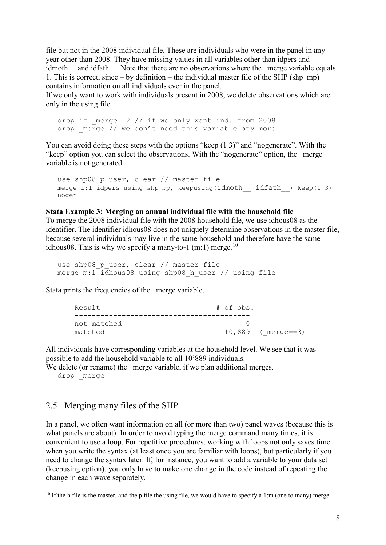file but not in the 2008 individual file. These are individuals who were in the panel in any year other than 2008. They have missing values in all variables other than idpers and idmoth and idfath . Note that there are no observations where the merge variable equals 1. This is correct, since – by definition – the individual master file of the SHP (shp\_mp) contains information on all individuals ever in the panel.

If we only want to work with individuals present in 2008, we delete observations which are only in the using file.

drop if  $merge==2$  // if we only want ind. from 2008 drop  $merge$  // we don't need this variable any more

You can avoid doing these steps with the options "keep (1 3)" and "nogenerate". With the "keep" option you can select the observations. With the "nogenerate" option, the merge variable is not generated.

```
use shp08 p user, clear // master file
merge 1:1 idpers using shp mp, keepusing(idmoth \int idfath ) keep(1 3)
nogen
```
#### **Stata Example 3: Merging an annual individual file with the household file**

To merge the 2008 individual file with the 2008 household file, we use idhous08 as the identifier. The identifier idhous08 does not uniquely determine observations in the master file, because several individuals may live in the same household and therefore have the same idhous08. This is why we specify a many-to-1 (m:1) merge.<sup>[10](#page-7-1)</sup>

```
use shp08 p user, clear // master file
merge m:1 idhous08 using shp08 h user // using file
```
Stata prints the frequencies of the merge variable.

| Result      | # of obs.           |
|-------------|---------------------|
|             |                     |
| not matched |                     |
| matched     | $10,889$ (merge==3) |

All individuals have corresponding variables at the household level. We see that it was possible to add the household variable to all 10'889 individuals.

We delete (or rename) the merge variable, if we plan additional merges.

drop merge

## <span id="page-7-0"></span>2.5 Merging many files of the SHP

In a panel, we often want information on all (or more than two) panel waves (because this is what panels are about). In order to avoid typing the merge command many times, it is convenient to use a loop. For repetitive procedures, working with loops not only saves time when you write the syntax (at least once you are familiar with loops), but particularly if you need to change the syntax later. If, for instance, you want to add a variable to your data set (keepusing option), you only have to make one change in the code instead of repeating the change in each wave separately.

<span id="page-7-1"></span> $10$  If the h file is the master, and the p file the using file, we would have to specify a 1:m (one to many) merge.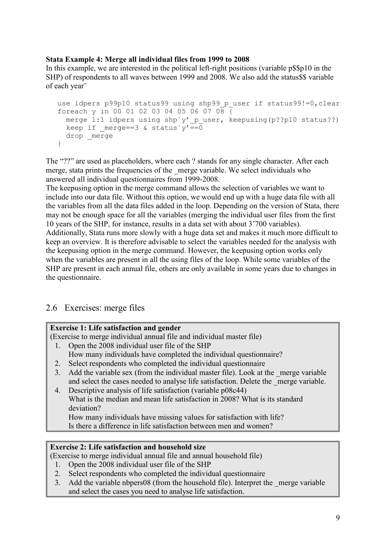## **Stata Example 4: Merge all individual files from 1999 to 2008**

In this example, we are interested in the political left-right positions (variable p\$\$p10 in the SHP) of respondents to all waves between 1999 and 2008. We also add the status\$\$ variable of each year¨

```
use idpers p99p10 status99 using shp99 p user if status99!=0, clear
foreach y in 00 01 02 03 04 05 06 07 08 \overline{6} merge 1:1 idpers using shp`y'_p_user, keepusing(p??p10 status??)
 keep if _merge==3 & status`y'==0
 drop merge
}
```
The "??" are used as placeholders, where each ? stands for any single character. After each merge, stata prints the frequencies of the merge variable. We select individuals who answered all individual questionnaires from 1999-2008.

The keepusing option in the merge command allows the selection of variables we want to include into our data file. Without this option, we would end up with a huge data file with all the variables from all the data files added in the loop. Depending on the version of Stata, there may not be enough space for all the variables (merging the individual user files from the first 10 years of the SHP, for instance, results in a data set with about 3'700 variables). Additionally, Stata runs more slowly with a huge data set and makes it much more difficult to keep an overview. It is therefore advisable to select the variables needed for the analysis with the keepusing option in the merge command. However, the keepusing option works only when the variables are present in all the using files of the loop. While some variables of the SHP are present in each annual file, others are only available in some years due to changes in the questionnaire.

## <span id="page-8-0"></span>2.6 Exercises: merge files

## **Exercise 1: Life satisfaction and gender**

(Exercise to merge individual annual file and individual master file)

- 1. Open the 2008 individual user file of the SHP How many individuals have completed the individual questionnaire?
- 2. Select respondents who completed the individual questionnaire
- 3. Add the variable sex (from the individual master file). Look at the \_merge variable and select the cases needed to analyse life satisfaction. Delete the \_merge variable.
- 4. Descriptive analysis of life satisfaction (variable p08c44) What is the median and mean life satisfaction in 2008? What is its standard deviation?

How many individuals have missing values for satisfaction with life? Is there a difference in life satisfaction between men and women?

## **Exercise 2: Life satisfaction and household size**

(Exercise to merge individual annual file and annual household file)

- 1. Open the 2008 individual user file of the SHP
- 2. Select respondents who completed the individual questionnaire
- 3. Add the variable nbpers08 (from the household file). Interpret the merge variable and select the cases you need to analyse life satisfaction.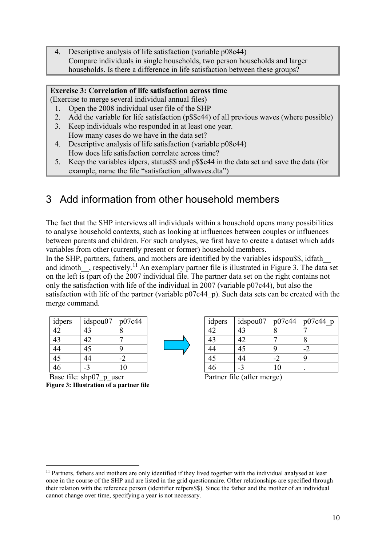4. Descriptive analysis of life satisfaction (variable p08c44) Compare individuals in single households, two person households and larger households. Is there a difference in life satisfaction between these groups?

## **Exercise 3: Correlation of life satisfaction across time**

- (Exercise to merge several individual annual files)
	- 1. Open the 2008 individual user file of the SHP
	- 2. Add the variable for life satisfaction (p\$\$c44) of all previous waves (where possible)
	- 3. Keep individuals who responded in at least one year. How many cases do we have in the data set?
	- 4. Descriptive analysis of life satisfaction (variable p08c44) How does life satisfaction correlate across time?
	- 5. Keep the variables idpers, status\$\$ and p\$\$c44 in the data set and save the data (for example, name the file "satisfaction\_allwaves.dta")

## <span id="page-9-0"></span>3 Add information from other household members

The fact that the SHP interviews all individuals within a household opens many possibilities to analyse household contexts, such as looking at influences between couples or influences between parents and children. For such analyses, we first have to create a dataset which adds variables from other (currently present or former) household members.

In the SHP, partners, fathers, and mothers are identified by the variables idspou\$\$, idfath and idmoth , respectively.<sup>[11](#page-9-1)</sup> An exemplary partner file is illustrated in Figure 3. The data set on the left is (part of) the 2007 individual file. The partner data set on the right contains not only the satisfaction with life of the individual in 2007 (variable p07c44), but also the satisfaction with life of the partner (variable p07c44 p). Such data sets can be created with the merge command.

| idpers | idspou07 | p07c44         |
|--------|----------|----------------|
| 42     | 43       | 8              |
| 43     | 42       |                |
| 44     | 45       | q              |
| 45     | 44       | $-2$           |
|        | -3       | 1 <sub>0</sub> |

Base file: shp07 p\_user Partner file (after merge) **Figure 3: Illustration of a partner file**

| idpers |    | idspou07 | p07c44 | $p07c44$ p |
|--------|----|----------|--------|------------|
| 42     | 43 |          |        |            |
| 43     | 42 |          |        |            |
| 44     | 15 |          |        |            |
| 45     | 4  |          |        |            |
|        |    |          | ١C     |            |

<span id="page-9-1"></span><sup>&</sup>lt;sup>11</sup> Partners, fathers and mothers are only identified if they lived together with the individual analysed at least once in the course of the SHP and are listed in the grid questionnaire. Other relationships are specified through their relation with the reference person (identifier refpers\$\$). Since the father and the mother of an individual cannot change over time, specifying a year is not necessary.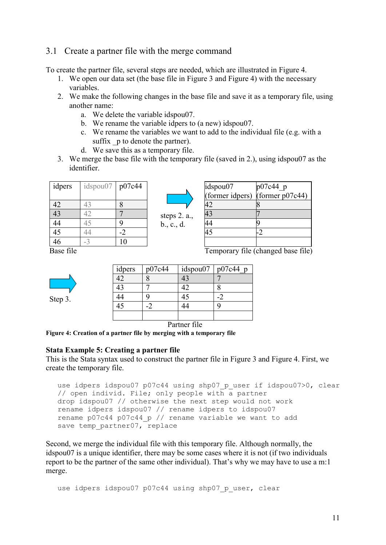## <span id="page-10-0"></span>3.1 Create a partner file with the merge command

To create the partner file, several steps are needed, which are illustrated in Figure 4.

- 1. We open our data set (the base file in Figure 3 and Figure 4) with the necessary variables.
- 2. We make the following changes in the base file and save it as a temporary file, using another name:
	- a. We delete the variable idspou07.
	- b. We rename the variable idpers to (a new) idspou07.
	- c. We rename the variables we want to add to the individual file (e.g. with a suffix p to denote the partner).
	- d. We save this as a temporary file.
- 3. We merge the base file with the temporary file (saved in 2.), using idspou07 as the identifier.

| idpers          | idspou07 | p07c44 |
|-----------------|----------|--------|
| 42              | 43       | 8      |
| $\overline{43}$ | 42       |        |
| 44              | 45       | 9      |
| $\overline{45}$ | 44       | -2     |
| 46              |          | 10     |



| idspou07        |                               |
|-----------------|-------------------------------|
| (former idpers) | $p07c44_p$<br>(former p07c44) |
|                 |                               |
|                 |                               |
|                 |                               |
|                 |                               |
|                 |                               |

Base file Temporary file (changed base file)

Step 3.

| idpers | p07c44 | idspou07 | $p07c44$ p |
|--------|--------|----------|------------|
|        |        | 43       |            |
|        |        |          |            |
| ŀ4     |        |          |            |
|        |        |          |            |
|        |        |          |            |

Partner file

**Figure 4: Creation of a partner file by merging with a temporary file**

#### **Stata Example 5: Creating a partner file**

This is the Stata syntax used to construct the partner file in Figure 3 and Figure 4. First, we create the temporary file.

```
use idpers idspou07 p07c44 using shp07 p user if idspou07>0, clear
// open individ. File; only people with a partner
drop idspou07 // otherwise the next step would not work
rename idpers idspou07 // rename idpers to idspou07
rename p07c44 p07c44_p // rename variable we want to add
save temp partner07, replace
```
Second, we merge the individual file with this temporary file. Although normally, the idspou07 is a unique identifier, there may be some cases where it is not (if two individuals report to be the partner of the same other individual). That's why we may have to use a m:1 merge.

use idpers idspou07 p07c44 using shp07 p user, clear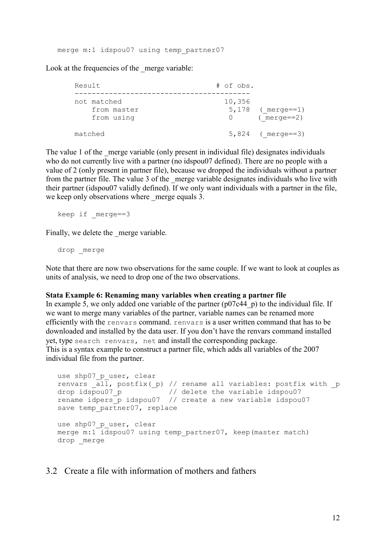merge m:1 idspou07 using temp partner07

Look at the frequencies of the merge variable:

| Result                                   | $#$ of obs.      |                                        |
|------------------------------------------|------------------|----------------------------------------|
| not matched<br>from master<br>from using | 10,356<br>$\cup$ | $5,178$ (merge==1)<br>$($ merge==2 $)$ |
| matched                                  |                  | $5,824$ (merge==3)                     |

The value 1 of the merge variable (only present in individual file) designates individuals who do not currently live with a partner (no idspou07 defined). There are no people with a value of 2 (only present in partner file), because we dropped the individuals without a partner from the partner file. The value 3 of the merge variable designates individuals who live with their partner (idspou07 validly defined). If we only want individuals with a partner in the file, we keep only observations where merge equals 3.

keep if merge==3

Finally, we delete the merge variable.

drop merge

Note that there are now two observations for the same couple. If we want to look at couples as units of analysis, we need to drop one of the two observations.

#### **Stata Example 6: Renaming many variables when creating a partner file**

In example 5, we only added one variable of the partner  $(p07c44\ p)$  to the individual file. If we want to merge many variables of the partner, variable names can be renamed more efficiently with the renvars command. renvars is a user written command that has to be downloaded and installed by the data user. If you don't have the renvars command installed yet, type search renvars, net and install the corresponding package. This is a syntax example to construct a partner file, which adds all variables of the 2007 individual file from the partner.

```
use shp07 p user, clear
renvars \overline{all}, postfix(p) // rename all variables: postfix with p
drop idspou07_p // delete the variable idspou07
rename idpers_p idspou07 // create a new variable idspou07
save temp partner07, replace
use shp07 p user, clear
merge m:1 idspou07 using temp_partner07, keep(master match)
drop _merge
```
#### <span id="page-11-0"></span>3.2 Create a file with information of mothers and fathers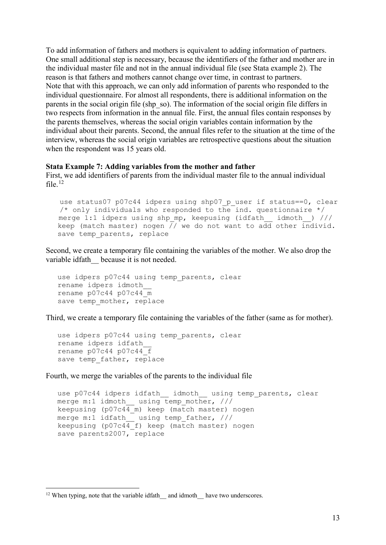To add information of fathers and mothers is equivalent to adding information of partners. One small additional step is necessary, because the identifiers of the father and mother are in the individual master file and not in the annual individual file (see Stata example 2). The reason is that fathers and mothers cannot change over time, in contrast to partners. Note that with this approach, we can only add information of parents who responded to the individual questionnaire. For almost all respondents, there is additional information on the parents in the social origin file (shp\_so). The information of the social origin file differs in two respects from information in the annual file. First, the annual files contain responses by the parents themselves, whereas the social origin variables contain information by the individual about their parents. Second, the annual files refer to the situation at the time of the interview, whereas the social origin variables are retrospective questions about the situation when the respondent was 15 years old.

#### **Stata Example 7: Adding variables from the mother and father**

First, we add identifiers of parents from the individual master file to the annual individual file. $12$ 

use status07 p07c44 idpers using shp07 p user if status==0, clear /\* only individuals who responded to the ind. questionnaire  $*/$ merge 1:1 idpers using shp mp, keepusing (idfath idmoth ) /// keep (match master) nogen  $\frac{7}{10}$  we do not want to add other individ. save temp parents, replace

Second, we create a temporary file containing the variables of the mother. We also drop the variable idfath because it is not needed.

```
use idpers p07c44 using temp parents, clear
rename idpers idmoth__
rename p07c44 p07c44_m
save temp mother, replace
```
Third, we create a temporary file containing the variables of the father (same as for mother).

```
use idpers p07c44 using temp parents, clear
rename idpers idfath__
rename p07c44 p07c44save temp father, replace
```
Fourth, we merge the variables of the parents to the individual file

```
use p07c44 idpers idfath idmoth using temp parents, clear
merge m:1 idmoth using temp mother, ///keepusing (p07c44_m) keep (match master) nogen
merge m:1 idfath__ using temp_father, ///
keepusing (p07c44_f) keep (match master) nogen
save parents2007, replace
```
<span id="page-12-0"></span> $12$  When typing, note that the variable idfath and idmoth have two underscores.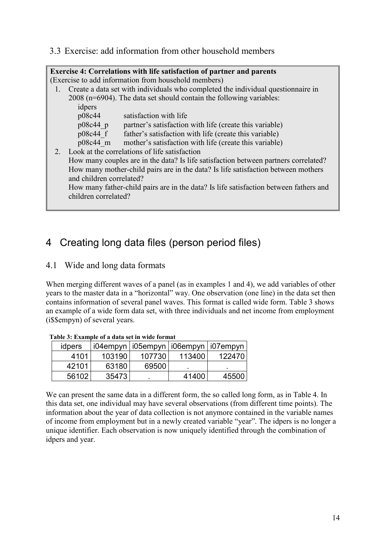<span id="page-13-0"></span>3.3 Exercise: add information from other household members

|    |                                                                                     | <b>Exercise 4: Correlations with life satisfaction of partner and parents</b>         |  |  |  |
|----|-------------------------------------------------------------------------------------|---------------------------------------------------------------------------------------|--|--|--|
|    |                                                                                     | (Exercise to add information from household members)                                  |  |  |  |
|    | 1. Create a data set with individuals who completed the individual questionnaire in |                                                                                       |  |  |  |
|    |                                                                                     | $2008$ (n=6904). The data set should contain the following variables:                 |  |  |  |
|    | idpers                                                                              |                                                                                       |  |  |  |
|    | p08c44                                                                              | satisfaction with life                                                                |  |  |  |
|    | $p08c44$ p                                                                          | partner's satisfaction with life (create this variable)                               |  |  |  |
|    | p08c44 f                                                                            | father's satisfaction with life (create this variable)                                |  |  |  |
|    | $p08c44$ m                                                                          | mother's satisfaction with life (create this variable)                                |  |  |  |
| 2. |                                                                                     | Look at the correlations of life satisfaction                                         |  |  |  |
|    |                                                                                     | How many couples are in the data? Is life satisfaction between partners correlated?   |  |  |  |
|    |                                                                                     | How many mother-child pairs are in the data? Is life satisfaction between mothers     |  |  |  |
|    | and children correlated?                                                            |                                                                                       |  |  |  |
|    |                                                                                     | How many father-child pairs are in the data? Is life satisfaction between fathers and |  |  |  |
|    | children correlated?                                                                |                                                                                       |  |  |  |
|    |                                                                                     |                                                                                       |  |  |  |

## <span id="page-13-1"></span>4 Creating long data files (person period files)

## <span id="page-13-2"></span>4.1 Wide and long data formats

When merging different waves of a panel (as in examples 1 and 4), we add variables of other years to the master data in a "horizontal" way. One observation (one line) in the data set then contains information of several panel waves. This format is called wide form. Table 3 shows an example of a wide form data set, with three individuals and net income from employment (i\$\$empyn) of several years.

| таріс 9. ғаспырда от адама эсе пе унас тоғшас |        |        |                                           |        |
|-----------------------------------------------|--------|--------|-------------------------------------------|--------|
| idpers                                        |        |        | i04empyn   i05empyn   i06empyn   i07empyn |        |
| 4101                                          | 103190 | 107730 | 113400                                    | 122470 |
| 42101                                         | 63180  | 69500  |                                           |        |
| 56102                                         | 35473  |        | 41400                                     | 45500  |

**Table 3: Example of a data set in wide format**

We can present the same data in a different form, the so called long form, as in [Table 4.](#page-14-1) In this data set, one individual may have several observations (from different time points). The information about the year of data collection is not anymore contained in the variable names of income from employment but in a newly created variable "year". The idpers is no longer a unique identifier. Each observation is now uniquely identified through the combination of idpers and year.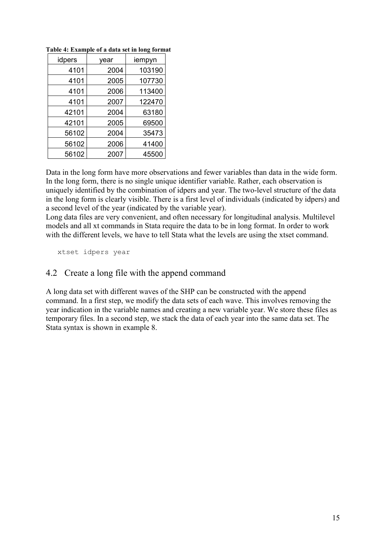| idpers | vear | iempyn |
|--------|------|--------|
| 4101   | 2004 | 103190 |
| 4101   | 2005 | 107730 |
| 4101   | 2006 | 113400 |
| 4101   | 2007 | 122470 |
| 42101  | 2004 | 63180  |
| 42101  | 2005 | 69500  |
| 56102  | 2004 | 35473  |
| 56102  | 2006 | 41400  |
| 56102  | 2007 | 45500  |

<span id="page-14-1"></span>**Table 4: Example of a data set in long format**

Data in the long form have more observations and fewer variables than data in the wide form. In the long form, there is no single unique identifier variable. Rather, each observation is uniquely identified by the combination of idpers and year. The two-level structure of the data in the long form is clearly visible. There is a first level of individuals (indicated by idpers) and a second level of the year (indicated by the variable year).

Long data files are very convenient, and often necessary for longitudinal analysis. Multilevel models and all xt commands in Stata require the data to be in long format. In order to work with the different levels, we have to tell Stata what the levels are using the xtset command.

<span id="page-14-0"></span>

xtset idpers year

## 4.2 Create a long file with the append command

A long data set with different waves of the SHP can be constructed with the append command. In a first step, we modify the data sets of each wave. This involves removing the year indication in the variable names and creating a new variable year. We store these files as temporary files. In a second step, we stack the data of each year into the same data set. The Stata syntax is shown in example 8.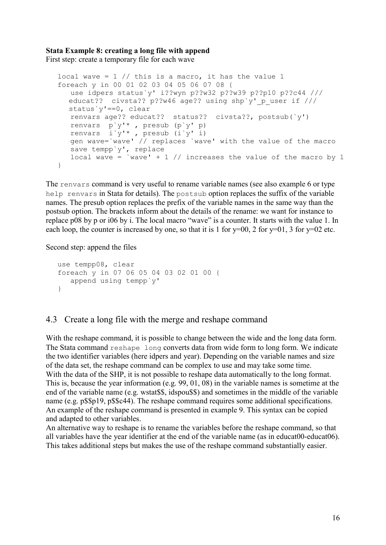## **Stata Example 8: creating a long file with append**

First step: create a temporary file for each wave

```
local wave = 1 // this is a macro, it has the value 1
foreach y in 00 01 02 03 04 05 06 07 08 {
  use idpers status`y' i??wyn p??w32 p??w39 p??p10 p??c44 /// 
  educat?? civsta?? p??w46 age?? using shp`y' p user if ///
  status`y'==0, clear
   renvars age?? educat?? status?? civsta??, postsub(`y') 
   renvars p`y'* , presub (p`y' p)
 renvars i`y'* , presub (i`y' i)
 gen wave=`wave' // replaces `wave' with the value of the macro
    save tempp`y', replace
  local wave = `wave' + 1 // increases the value of the macro by 1
}
```
The renvars command is very useful to rename variable names (see also example 6 or type help renvars in Stata for details). The postsub option replaces the suffix of the variable names. The presub option replaces the prefix of the variable names in the same way than the postsub option. The brackets inform about the details of the rename: we want for instance to replace p08 by p or i06 by i. The local macro "wave" is a counter. It starts with the value 1. In each loop, the counter is increased by one, so that it is 1 for  $y=00$ , 2 for  $y=01$ , 3 for  $y=02$  etc.

Second step: append the files

```
use tempp08, clear
foreach y in 07 06 05 04 03 02 01 00 {
    append using tempp`y'
}
```
## <span id="page-15-0"></span>4.3 Create a long file with the merge and reshape command

With the reshape command, it is possible to change between the wide and the long data form. The Stata command reshape long converts data from wide form to long form. We indicate the two identifier variables (here idpers and year). Depending on the variable names and size of the data set, the reshape command can be complex to use and may take some time. With the data of the SHP, it is not possible to reshape data automatically to the long format. This is, because the year information (e.g. 99, 01, 08) in the variable names is sometime at the end of the variable name (e.g. wstat\$\$, idspou\$\$) and sometimes in the middle of the variable name (e.g. p\$\$p19, p\$\$c44). The reshape command requires some additional specifications. An example of the reshape command is presented in example 9. This syntax can be copied and adapted to other variables.

An alternative way to reshape is to rename the variables before the reshape command, so that all variables have the year identifier at the end of the variable name (as in educat00-educat06). This takes additional steps but makes the use of the reshape command substantially easier.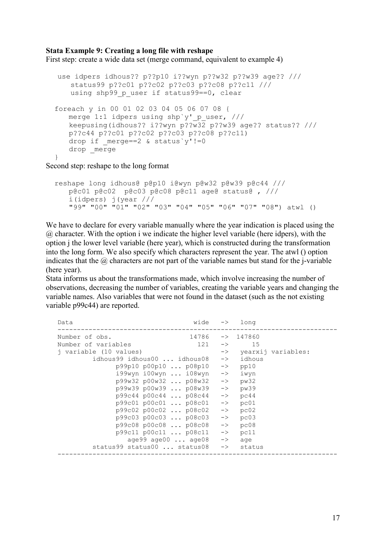#### **Stata Example 9: Creating a long file with reshape**

First step: create a wide data set (merge command, equivalent to example 4)

```
 use idpers idhous?? p??p10 i??wyn p??w32 p??w39 age?? ///
     status99 p??c01 p??c02 p??c03 p??c08 p??c11 ///
     using shp99 p user if status99==0, clear
  foreach y in 00 01 02 03 04 05 06 07 08 {
     merge 1:1 idpers using shp`y' p user, ///
     keepusing(idhous?? i??wyn p??w32 p??w39 age?? status?? ///
      p??c44 p??c01 p??c02 p??c03 p??c08 p??c11)
     drop if merge==2 & status`y' !=0
     drop merge
 }
```
Second step: reshape to the long format

```
 reshape long idhous@ p@p10 i@wyn p@w32 p@w39 p@c44 /// 
   p@c01 p@c02 p@c03 p@c08 p@c11 age@ status@ , ///
   i(idpers) j(year ///
   "99" "00" "01" "02" "03" "04" "05" "06" "07" "08") atwl ()
```
We have to declare for every variable manually where the year indication is placed using the  $@$  character. With the option i we indicate the higher level variable (here idpers), with the option j the lower level variable (here year), which is constructed during the transformation into the long form. We also specify which characters represent the year. The atwl () option indicates that the  $\omega$  characters are not part of the variable names but stand for the j-variable (here year).

Stata informs us about the transformations made, which involve increasing the number of observations, decreasing the number of variables, creating the variable years and changing the variable names. Also variables that were not found in the dataset (such as the not existing variable p99c44) are reported.

| Data                          | wide $\rightarrow$ long      |               |                      |                       |
|-------------------------------|------------------------------|---------------|----------------------|-----------------------|
| Number of obs.                | $14786$ $\rightarrow$ 147860 |               |                      |                       |
| Number of variables           | 121                          | $\rightarrow$ | 15                   |                       |
| j variable (10 values)        |                              |               |                      | -> yearxij variables: |
| idhous99 idhous00  idhous08   |                              |               | $\rightarrow$ idhous |                       |
| p99p10 p00p10  p08p10         |                              |               | $\rightarrow$ pp10   |                       |
| i99wyn i00wyn  i08wyn         |                              |               | $\rightarrow$ iwyn   |                       |
| p99w32 p00w32  p08w32         |                              | $->$          | pw32                 |                       |
| p99w39 p00w39  p08w39         |                              | $->$          | pw39                 |                       |
| p99c44 p00c44  p08c44         |                              | $->$          | pc44                 |                       |
| p99c01 p00c01 p08c01          |                              | $->$          | pc01                 |                       |
| p99c02 p00c02  p08c02         |                              | $->$          | pc02                 |                       |
| p99c03 p00c03  p08c03         |                              | $->$          | pc03                 |                       |
| p99c08 p00c08  p08c08         |                              | $->$          | pc08                 |                       |
| p99c11 p00c11  p08c11         |                              | $->$          | pc11                 |                       |
| age99 $a$ ge00 $\ldots$ age08 |                              |               | $\rightarrow$ age    |                       |
| status99 status00  status08   |                              |               | -> status            |                       |
|                               |                              |               |                      |                       |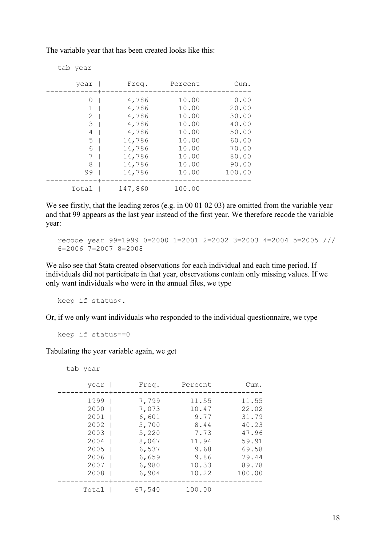The variable year that has been created looks like this:

| tab year |                  |                |                 |
|----------|------------------|----------------|-----------------|
| year     | Freq.            | Percent        | Cum.            |
| 0<br>1   | 14,786           | 10.00          | 10.00           |
| 2        | 14,786<br>14,786 | 10.00<br>10.00 | 20.00<br>30.00  |
| 3<br>4   | 14,786<br>14,786 | 10.00<br>10.00 | 40.00<br>50.00  |
| 5<br>6   | 14,786<br>14,786 | 10.00<br>10.00 | 60.00<br>70.00  |
| 7        | 14,786           | 10.00          | 80.00           |
| 8<br>99  | 14,786<br>14,786 | 10.00<br>10.00 | 90.00<br>100.00 |
|          | 147,860          | 100.00         |                 |
| Total    |                  |                |                 |

We see firstly, that the leading zeros (e.g. in 00 01 02 03) are omitted from the variable year and that 99 appears as the last year instead of the first year. We therefore recode the variable year:

recode year 99=1999 0=2000 1=2001 2=2002 3=2003 4=2004 5=2005 /// 6=2006 7=2007 8=2008

We also see that Stata created observations for each individual and each time period. If individuals did not participate in that year, observations contain only missing values. If we only want individuals who were in the annual files, we type

keep if status<.

Or, if we only want individuals who responded to the individual questionnaire, we type

keep if status==0

Tabulating the year variable again, we get

```
 tab year
```

| year                                                                     | Freq.                                                                         | Percent                                                                  | Cum.                                                                          |
|--------------------------------------------------------------------------|-------------------------------------------------------------------------------|--------------------------------------------------------------------------|-------------------------------------------------------------------------------|
| 1999<br>2000<br>2001<br>2002<br>$2003$  <br>2004<br>2005<br>2006<br>2007 | 7,799<br>7,073<br>6,601<br>5,700<br>5,220<br>8,067<br>6,537<br>6,659<br>6,980 | 11.55<br>10.47<br>9.77<br>8.44<br>7.73<br>11.94<br>9.68<br>9.86<br>10.33 | 11.55<br>22.02<br>31.79<br>40.23<br>47.96<br>59.91<br>69.58<br>79.44<br>89.78 |
| 2008                                                                     | 6,904                                                                         | 10.22                                                                    | 100.00                                                                        |
| Total                                                                    | 67,540                                                                        | 100.00                                                                   |                                                                               |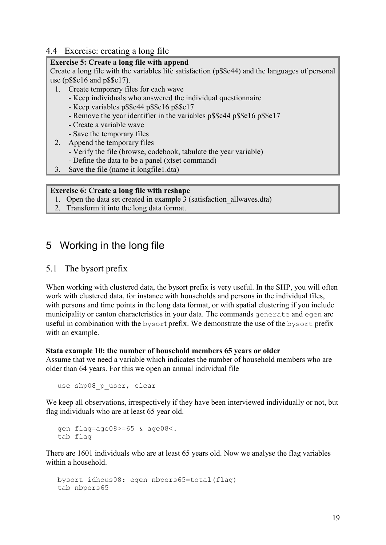## <span id="page-18-0"></span>4.4 Exercise: creating a long file

### **Exercise 5: Create a long file with append**

Create a long file with the variables life satisfaction (p\$\$c44) and the languages of personal use (p\$\$e16 and p\$\$e17).

- 1. Create temporary files for each wave
	- Keep individuals who answered the individual questionnaire
	- Keep variables p\$\$c44 p\$\$e16 p\$\$e17
	- Remove the year identifier in the variables p\$\$c44 p\$\$e16 p\$\$e17
	- Create a variable wave
	- Save the temporary files
- 2. Append the temporary files
	- Verify the file (browse, codebook, tabulate the year variable)
	- Define the data to be a panel (xtset command)
- 3. Save the file (name it longfile1.dta)

#### **Exercise 6: Create a long file with reshape**

- 1. Open the data set created in example 3 (satisfaction\_allwaves.dta)
- 2. Transform it into the long data format.

## <span id="page-18-1"></span>5 Working in the long file

## <span id="page-18-2"></span>5.1 The bysort prefix

When working with clustered data, the bysort prefix is very useful. In the SHP, you will often work with clustered data, for instance with households and persons in the individual files, with persons and time points in the long data format, or with spatial clustering if you include municipality or canton characteristics in your data. The commands generate and egen are useful in combination with the bysort prefix. We demonstrate the use of the bysort prefix with an example.

#### **Stata example 10: the number of household members 65 years or older**

Assume that we need a variable which indicates the number of household members who are older than 64 years. For this we open an annual individual file

use shp08 p user, clear

We keep all observations, irrespectively if they have been interviewed individually or not, but flag individuals who are at least 65 year old.

```
gen flag=age08>=65 & age08<.
tab flag
```
There are 1601 individuals who are at least 65 years old. Now we analyse the flag variables within a household.

```
bysort idhous08: egen nbpers65=total(flag)
tab nbpers65
```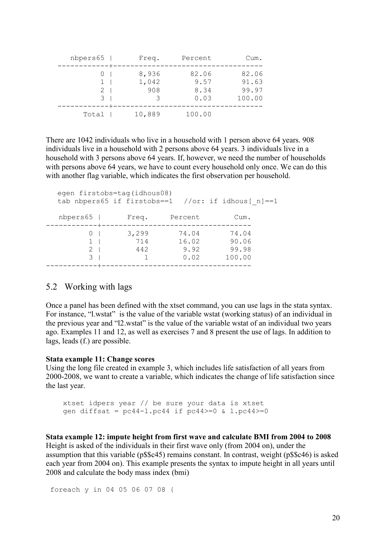| Cum.                              | Percent                       | Freq.                 | nbpers65 |
|-----------------------------------|-------------------------------|-----------------------|----------|
| 82.06<br>91.63<br>99.97<br>100.00 | 82.06<br>9.57<br>8.34<br>0.03 | 8,936<br>1,042<br>908 | 2<br>3   |
|                                   | 100.00                        | 10,889                | Total    |

There are 1042 individuals who live in a household with 1 person above 64 years. 908 individuals live in a household with 2 persons above 64 years. 3 individuals live in a household with 3 persons above 64 years. If, however, we need the number of households with persons above 64 years, we have to count every household only once. We can do this with another flag variable, which indicates the first observation per household.

|                                              | egen firstobs=tag(idhous08) |                                | tab nbpers65 if firstobs==1 //or: if idhous[ n] ==1 |  |
|----------------------------------------------|-----------------------------|--------------------------------|-----------------------------------------------------|--|
| $n$ bpers $65$                               | Freq.                       | Percent                        | Cum.                                                |  |
| $\left( \right)$<br>1.<br>$\mathcal{L}$<br>२ | 3,299<br>714<br>442         | 74.04<br>16.02<br>9.92<br>0.02 | 74.04<br>90.06<br>99.98<br>100.00                   |  |
|                                              |                             |                                |                                                     |  |

#### <span id="page-19-0"></span>5.2 Working with lags

Once a panel has been defined with the xtset command, you can use lags in the stata syntax. For instance, "l.wstat" is the value of the variable wstat (working status) of an individual in the previous year and "l2.wstat" is the value of the variable wstat of an individual two years ago. Examples 11 and 12, as well as exercises 7 and 8 present the use of lags. In addition to lags, leads (f.) are possible.

#### **Stata example 11: Change scores**

Using the long file created in example 3, which includes life satisfaction of all years from 2000-2008, we want to create a variable, which indicates the change of life satisfaction since the last year.

 xtset idpers year // be sure your data is xtset gen diffsat =  $pc44-1.pc44$  if  $pc44>=0$  &  $1.pc44>=0$ 

**Stata example 12: impute height from first wave and calculate BMI from 2004 to 2008** Height is asked of the individuals in their first wave only (from 2004 on), under the assumption that this variable (p\$\$c45) remains constant. In contrast, weight (p\$\$c46) is asked each year from 2004 on). This example presents the syntax to impute height in all years until 2008 and calculate the body mass index (bmi)

```
foreach y in 04 05 06 07 08 {
```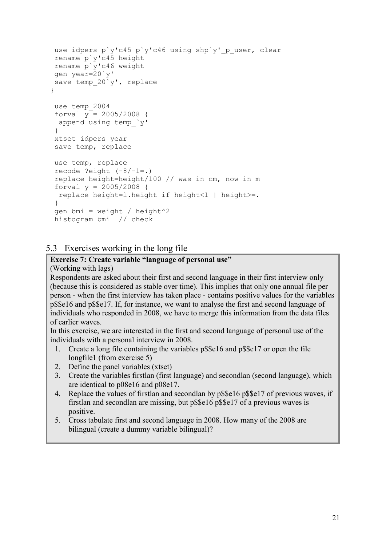```
use idpers p`y'c45 p`y'c46 using shp`y' p user, clear
  rename p`y'c45 height
  rename p`y'c46 weight
  gen year=20`y'
 save temp 20`y', replace
 }
  use temp_2004
  forval y = 2005/2008 {
   append using temp_`y'
 }
  xtset idpers year
  save temp, replace
  use temp, replace
 recode ?eight (-8/-1=.) replace height=height/100 // was in cm, now in m
 forval y = 2005/2008 {
   replace height=l.height if height<1 | height>=.
  }
 gen bmi = weight / height^2 histogram bmi // check
```
## <span id="page-20-0"></span>5.3 Exercises working in the long file

## **Exercise 7: Create variable "language of personal use"**

(Working with lags)

Respondents are asked about their first and second language in their first interview only (because this is considered as stable over time). This implies that only one annual file per person - when the first interview has taken place - contains positive values for the variables p\$\$e16 and p\$\$e17. If, for instance, we want to analyse the first and second language of individuals who responded in 2008, we have to merge this information from the data files of earlier waves.

In this exercise, we are interested in the first and second language of personal use of the individuals with a personal interview in 2008.

- 1. Create a long file containing the variables p\$\$e16 and p\$\$e17 or open the file longfile1 (from exercise 5)
- 2. Define the panel variables (xtset)
- 3. Create the variables firstlan (first language) and secondlan (second language), which are identical to p08e16 and p08e17.
- 4. Replace the values of firstlan and secondlan by p\$\$e16 p\$\$e17 of previous waves, if firstlan and secondlan are missing, but p\$\$e16 p\$\$e17 of a previous waves is positive.
- 5. Cross tabulate first and second language in 2008. How many of the 2008 are bilingual (create a dummy variable bilingual)?